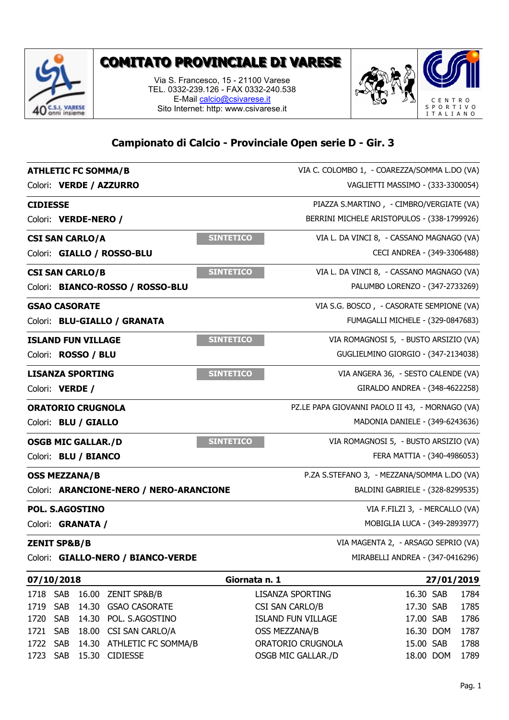

## **COMITATO PROVINCIALE DI VARESE**

**TO PROVINCIALE DI VARESE**<br>Via S. Francesco, 15 - 21100 Varese<br>EL. 0332-239.126 - FAX 0332-240.538<br>E-Mail <u>calcio@csivarese.it</u> **NTO PROVINCIALE DI VARESE**<br>Via S. Francesco, 15 - 21100 Varese<br>TEL. 0332-239.126 - FAX 0332-240.538<br>E-Mail <u>calcio@csivarese.it</u><br>Sito Internet: http: www.csivarese.it E-Mail calcio@csivarese.it Sito Internet: http: www.csivarese.it



## **Campionato di Calcio - Provinciale Open serie D - Gir. 3**

|                 | <b>ATHLETIC FC SOMMA/B</b> |                                         | VIA C. COLOMBO 1, - COAREZZA/SOMMA L.DO (VA)                  |                                             |            |  |  |
|-----------------|----------------------------|-----------------------------------------|---------------------------------------------------------------|---------------------------------------------|------------|--|--|
|                 | Colori: VERDE / AZZURRO    |                                         | VAGLIETTI MASSIMO - (333-3300054)                             |                                             |            |  |  |
| <b>CIDIESSE</b> |                            |                                         | PIAZZA S.MARTINO, - CIMBRO/VERGIATE (VA)                      |                                             |            |  |  |
|                 | Colori: VERDE-NERO /       |                                         |                                                               | BERRINI MICHELE ARISTOPULOS - (338-1799926) |            |  |  |
|                 | <b>CSI SAN CARLO/A</b>     |                                         | <b>SINTETICO</b><br>VIA L. DA VINCI 8, - CASSANO MAGNAGO (VA) |                                             |            |  |  |
|                 | Colori: GIALLO / ROSSO-BLU |                                         |                                                               | CECI ANDREA - (349-3306488)                 |            |  |  |
|                 | <b>CSI SAN CARLO/B</b>     |                                         | <b>SINTETICO</b><br>VIA L. DA VINCI 8, - CASSANO MAGNAGO (VA) |                                             |            |  |  |
|                 |                            | Colori: BIANCO-ROSSO / ROSSO-BLU        | PALUMBO LORENZO - (347-2733269)                               |                                             |            |  |  |
|                 | <b>GSAO CASORATE</b>       |                                         | VIA S.G. BOSCO, - CASORATE SEMPIONE (VA)                      |                                             |            |  |  |
|                 |                            | Colori: BLU-GIALLO / GRANATA            | FUMAGALLI MICHELE - (329-0847683)                             |                                             |            |  |  |
|                 | <b>ISLAND FUN VILLAGE</b>  |                                         | <b>SINTETICO</b><br>VIA ROMAGNOSI 5, - BUSTO ARSIZIO (VA)     |                                             |            |  |  |
|                 | Colori: ROSSO / BLU        |                                         |                                                               | GUGLIELMINO GIORGIO - (347-2134038)         |            |  |  |
|                 | <b>LISANZA SPORTING</b>    |                                         | <b>SINTETICO</b><br>VIA ANGERA 36, - SESTO CALENDE (VA)       |                                             |            |  |  |
|                 | Colori: VERDE /            |                                         |                                                               | GIRALDO ANDREA - (348-4622258)              |            |  |  |
|                 | <b>ORATORIO CRUGNOLA</b>   |                                         | PZ.LE PAPA GIOVANNI PAOLO II 43, - MORNAGO (VA)               |                                             |            |  |  |
|                 | Colori: BLU / GIALLO       |                                         | MADONIA DANIELE - (349-6243636)                               |                                             |            |  |  |
|                 | <b>OSGB MIC GALLAR./D</b>  |                                         | <b>SINTETICO</b><br>VIA ROMAGNOSI 5, - BUSTO ARSIZIO (VA)     |                                             |            |  |  |
|                 | Colori: BLU / BIANCO       |                                         |                                                               | FERA MATTIA - (340-4986053)                 |            |  |  |
|                 | <b>OSS MEZZANA/B</b>       |                                         | P.ZA S.STEFANO 3, - MEZZANA/SOMMA L.DO (VA)                   |                                             |            |  |  |
|                 |                            | Colori: ARANCIONE-NERO / NERO-ARANCIONE | BALDINI GABRIELE - (328-8299535)                              |                                             |            |  |  |
|                 | POL. S.AGOSTINO            |                                         |                                                               | VIA F.FILZI 3, - MERCALLO (VA)              |            |  |  |
|                 | Colori: <b>GRANATA /</b>   |                                         |                                                               | MOBIGLIA LUCA - (349-2893977)               |            |  |  |
|                 | <b>ZENIT SP&amp;B/B</b>    |                                         | VIA MAGENTA 2, - ARSAGO SEPRIO (VA)                           |                                             |            |  |  |
|                 |                            | Colori: GIALLO-NERO / BIANCO-VERDE      | MIRABELLI ANDREA - (347-0416296)                              |                                             |            |  |  |
|                 | 07/10/2018                 |                                         | Giornata n. 1                                                 |                                             | 27/01/2019 |  |  |
| 1718 SAB        |                            | 16.00 ZENIT SP&B/B                      | <b>LISANZA SPORTING</b>                                       | 16.30 SAB                                   | 1784       |  |  |
| 1719            | <b>SAB</b>                 | 14.30 GSAO CASORATE                     | <b>CSI SAN CARLO/B</b>                                        | 17.30 SAB                                   | 1785       |  |  |
| 1720            | 14.30<br>SAB               | POL. S.AGOSTINO                         | <b>ISLAND FUN VILLAGE</b>                                     | 17.00 SAB                                   | 1786       |  |  |
| 1721            | 18.00<br><b>SAB</b>        | CSI SAN CARLO/A                         | <b>OSS MEZZANA/B</b>                                          | 16.30 DOM                                   | 1787       |  |  |
| 1722            | <b>SAB</b>                 | 14.30 ATHLETIC FC SOMMA/B               | <b>ORATORIO CRUGNOLA</b>                                      | 15.00 SAB                                   | 1788       |  |  |
| 1723 SAB        |                            | 15.30 CIDIESSE                          | OSGB MIC GALLAR./D                                            | 18.00 DOM                                   | 1789       |  |  |

| VIA F.FILZI 3, - MERCALLO (VA)      |            |      |  |
|-------------------------------------|------------|------|--|
| MOBIGLIA LUCA - (349-2893977)       |            |      |  |
| VIA MAGENTA 2, - ARSAGO SEPRIO (VA) |            |      |  |
| MIRABELLI ANDREA - (347-0416296)    |            |      |  |
| Giornata n. 1                       | 27/01/2019 |      |  |
| <b>LISANZA SPORTING</b>             | 16.30 SAB  | 1784 |  |
| CSI SAN CARLO/B                     | 17.30 SAB  | 1785 |  |
| <b>ISLAND FUN VILLAGE</b>           | 17.00 SAB  | 1786 |  |
| <b>OSS MEZZANA/B</b>                | 16.30 DOM  | 1787 |  |
| <b>ORATORIO CRUGNOLA</b>            | 15.00 SAB  | 1788 |  |
|                                     |            |      |  |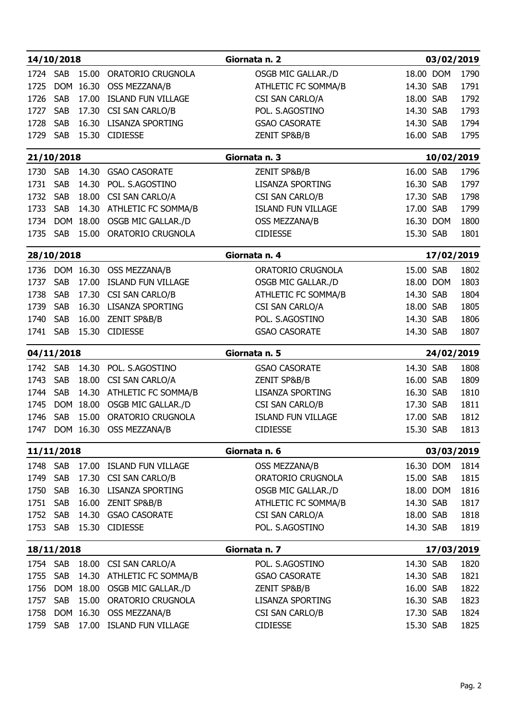|              | 14/10/2018                  |           |                                                | Giornata n. 2                      | 03/02/2019             |            |              |
|--------------|-----------------------------|-----------|------------------------------------------------|------------------------------------|------------------------|------------|--------------|
| 1724         | <b>SAB</b>                  | 15.00     | <b>ORATORIO CRUGNOLA</b>                       | OSGB MIC GALLAR./D                 | 18.00 DOM              |            | 1790         |
| 1725         |                             | DOM 16.30 | OSS MEZZANA/B                                  | <b>ATHLETIC FC SOMMA/B</b>         | 14.30 SAB              |            | 1791         |
| 1726         | <b>SAB</b>                  | 17.00     | <b>ISLAND FUN VILLAGE</b>                      | CSI SAN CARLO/A                    | 18.00 SAB              |            | 1792         |
| 1727         | SAB                         | 17.30     | <b>CSI SAN CARLO/B</b>                         | POL. S.AGOSTINO                    | 14.30 SAB              |            | 1793         |
| 1728         | <b>SAB</b>                  | 16.30     | <b>LISANZA SPORTING</b>                        | <b>GSAO CASORATE</b>               | 14.30 SAB              |            | 1794         |
| 1729         | <b>SAB</b>                  |           | 15.30 CIDIESSE                                 | ZENIT SP&B/B                       | 16.00 SAB              |            | 1795         |
|              | 21/10/2018                  |           |                                                | Giornata n. 3                      |                        | 10/02/2019 |              |
| 1730         | <b>SAB</b>                  | 14.30     | <b>GSAO CASORATE</b>                           | <b>ZENIT SP&amp;B/B</b>            | 16.00 SAB              |            | 1796         |
| 1731         | <b>SAB</b>                  | 14.30     | POL. S.AGOSTINO                                | <b>LISANZA SPORTING</b>            | 16.30 SAB              |            | 1797         |
| 1732         | <b>SAB</b>                  | 18.00     | <b>CSI SAN CARLO/A</b>                         | CSI SAN CARLO/B                    | 17.30 SAB              |            | 1798         |
| 1733         | SAB                         | 14.30     | ATHLETIC FC SOMMA/B                            | <b>ISLAND FUN VILLAGE</b>          | 17.00 SAB              |            | 1799         |
| 1734         |                             | DOM 18.00 | OSGB MIC GALLAR./D                             | OSS MEZZANA/B                      | 16.30 DOM              |            | 1800         |
| 1735         | <b>SAB</b>                  | 15.00     | <b>ORATORIO CRUGNOLA</b>                       | <b>CIDIESSE</b>                    | 15.30 SAB              |            | 1801         |
|              | 28/10/2018                  |           |                                                | Giornata n. 4                      |                        | 17/02/2019 |              |
| 1736         |                             | DOM 16.30 | OSS MEZZANA/B                                  | <b>ORATORIO CRUGNOLA</b>           | 15.00 SAB              |            | 1802         |
| 1737         | <b>SAB</b>                  | 17.00     | <b>ISLAND FUN VILLAGE</b>                      | <b>OSGB MIC GALLAR./D</b>          | 18.00 DOM              |            | 1803         |
| 1738         | <b>SAB</b>                  | 17.30     | <b>CSI SAN CARLO/B</b>                         | ATHLETIC FC SOMMA/B                | 14.30 SAB              |            | 1804         |
| 1739         | SAB                         | 16.30     | <b>LISANZA SPORTING</b>                        | CSI SAN CARLO/A                    | 18.00 SAB              |            | 1805         |
| 1740         |                             |           | SAB 16.00 ZENIT SP&B/B                         | POL. S.AGOSTINO                    | 14.30 SAB              |            | 1806         |
|              |                             |           | 1741 SAB 15.30 CIDIESSE                        | <b>GSAO CASORATE</b>               | 14.30 SAB              |            | 1807         |
|              | 04/11/2018                  |           |                                                | Giornata n. 5                      |                        | 24/02/2019 |              |
|              | 1742 SAB                    |           | 14.30 POL. S.AGOSTINO                          | <b>GSAO CASORATE</b>               | 14.30 SAB              |            | 1808         |
|              | 1743 SAB                    |           | 18.00 CSI SAN CARLO/A                          | ZENIT SP&B/B                       | 16.00 SAB              |            | 1809         |
|              | 1744 SAB                    |           | 14.30 ATHLETIC FC SOMMA/B                      | LISANZA SPORTING                   | 16.30 SAB              |            | 1810         |
| 1745         |                             |           | DOM 18.00 OSGB MIC GALLAR./D                   | <b>CSI SAN CARLO/B</b>             | 17.30 SAB              |            | 1811         |
| 1746         |                             |           | SAB 15.00 ORATORIO CRUGNOLA                    | <b>ISLAND FUN VILLAGE</b>          | 17.00 SAB              |            | 1812         |
|              |                             |           | 1747 DOM 16.30 OSS MEZZANA/B                   | <b>CIDIESSE</b>                    | 15.30 SAB              |            | 1813         |
|              | 11/11/2018<br>Giornata n. 6 |           |                                                |                                    | 03/03/2019             |            |              |
|              | 1748 SAB                    |           | 17.00 ISLAND FUN VILLAGE                       | OSS MEZZANA/B                      | 16.30 DOM              |            | 1814         |
|              | 1749 SAB                    |           | 17.30 CSI SAN CARLO/B                          | ORATORIO CRUGNOLA                  | 15.00 SAB              |            | 1815         |
| 1750         | <b>SAB</b>                  |           | 16.30 LISANZA SPORTING                         | OSGB MIC GALLAR./D                 | 18.00 DOM              |            | 1816         |
|              | 1751 SAB                    |           | 16.00 ZENIT SP&B/B                             | ATHLETIC FC SOMMA/B                | 14.30 SAB              |            | 1817         |
|              | 1752 SAB                    |           | 14.30 GSAO CASORATE<br>1753 SAB 15.30 CIDIESSE | CSI SAN CARLO/A<br>POL. S.AGOSTINO | 18.00 SAB<br>14.30 SAB |            | 1818<br>1819 |
|              |                             |           |                                                |                                    |                        |            |              |
|              | 18/11/2018                  |           |                                                | Giornata n. 7                      |                        | 17/03/2019 |              |
|              | 1754 SAB                    |           | 18.00 CSI SAN CARLO/A                          | POL. S.AGOSTINO                    | 14.30 SAB              |            | 1820         |
| 1755         | SAB                         |           | 14.30 ATHLETIC FC SOMMA/B                      | <b>GSAO CASORATE</b>               | 14.30 SAB              |            | 1821         |
| 1756         |                             | DOM 18.00 | OSGB MIC GALLAR./D                             | ZENIT SP&B/B                       | 16.00 SAB              |            | 1822         |
| 1757<br>1758 | <b>SAB</b>                  | 15.00     | ORATORIO CRUGNOLA<br>DOM 16.30 OSS MEZZANA/B   | <b>LISANZA SPORTING</b>            | 16.30 SAB<br>17.30 SAB |            | 1823<br>1824 |
| 1759         |                             |           | SAB 17.00 ISLAND FUN VILLAGE                   | CSI SAN CARLO/B<br><b>CIDIESSE</b> | 15.30 SAB              |            | 1825         |
|              |                             |           |                                                |                                    |                        |            |              |